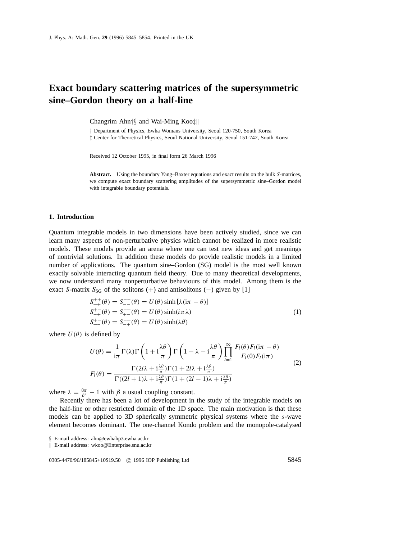# **Exact boundary scattering matrices of the supersymmetric sine–Gordon theory on a half-line**

Changrim Ahn*†§* and Wai-Ming Koo*‡*k

*†* Department of Physics, Ewha Womans University, Seoul 120-750, South Korea *‡* Center for Theoretical Physics, Seoul National University, Seoul 151-742, South Korea

Received 12 October 1995, in final form 26 March 1996

**Abstract.** Using the boundary Yang–Baxter equations and exact results on the bulk *S*-matrices, we compute exact boundary scattering amplitudes of the supersymmetric sine–Gordon model with integrable boundary potentials.

## **1. Introduction**

Quantum integrable models in two dimensions have been actively studied, since we can learn many aspects of non-perturbative physics which cannot be realized in more realistic models. These models provide an arena where one can test new ideas and get meanings of nontrivial solutions. In addition these models do provide realistic models in a limited number of applications. The quantum sine–Gordon (SG) model is the most well known exactly solvable interacting quantum field theory. Due to many theoretical developments, we now understand many nonperturbative behaviours of this model. Among them is the exact *S*-matrix  $S_{SG}$  of the solitons (+) and antisolitons (-) given by [1]

$$
S_{++}^{++}(\theta) = S_{--}^{-}(\theta) = U(\theta) \sinh[\lambda(i\pi - \theta)]
$$
  
\n
$$
S_{+-}^{+-}(\theta) = S_{+-}^{-+}(\theta) = U(\theta) \sinh(i\pi\lambda)
$$
  
\n
$$
S_{+-}^{+-}(\theta) = S_{-+}^{-+}(\theta) = U(\theta) \sinh(\lambda\theta)
$$
\n(1)

where  $U(\theta)$  is defined by

$$
U(\theta) = \frac{1}{i\pi} \Gamma(\lambda) \Gamma\left(1 + i\frac{\lambda\theta}{\pi}\right) \Gamma\left(1 - \lambda - i\frac{\lambda\theta}{\pi}\right) \prod_{l=1}^{\infty} \frac{F_l(\theta) F_l(i\pi - \theta)}{F_l(0) F_l(i\pi)}
$$
  

$$
F_l(\theta) = \frac{\Gamma(2l\lambda + i\frac{\lambda\theta}{\pi}) \Gamma(1 + 2l\lambda + i\frac{\lambda\theta}{\pi})}{\Gamma((2l+1)\lambda + i\frac{\lambda\theta}{\pi}) \Gamma(1 + (2l-1)\lambda + i\frac{\lambda\theta}{\pi})}
$$
(2)

where  $\lambda = \frac{8\pi}{\beta^2} - 1$  with  $\beta$  a usual coupling constant.

Recently there has been a lot of development in the study of the integrable models on the half-line or other restricted domain of the 1D space. The main motivation is that these models can be applied to 3D spherically symmetric physical systems where the *s*-wave element becomes dominant. The one-channel Kondo problem and the monopole-catalysed

*§* E-mail address: ahn@ewhahp3.ewha.ac.kr

k E-mail address: wkoo@Enterprise.snu.ac.kr

0305-4470/96/185845+10\$19.50 © 1996 IOP Publishing Ltd 5845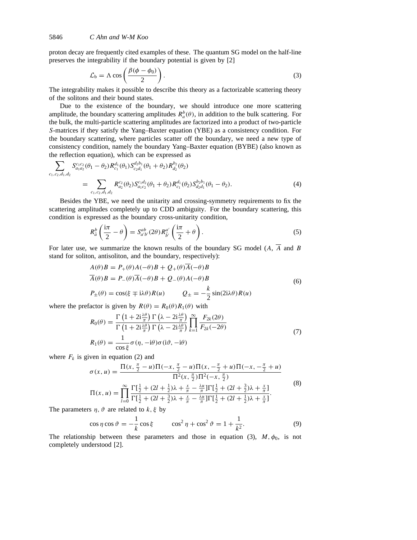proton decay are frequently cited examples of these. The quantum SG model on the half-line preserves the integrability if the boundary potential is given by [2]

$$
\mathcal{L}_{b} = \Lambda \cos \left( \frac{\beta(\phi - \phi_0)}{2} \right). \tag{3}
$$

The integrability makes it possible to describe this theory as a factorizable scattering theory of the solitons and their bound states.

Due to the existence of the boundary, we should introduce one more scattering amplitude, the boundary scattering amplitudes  $R_a^b(\theta)$ , in addition to the bulk scattering. For the bulk, the multi-particle scattering amplitudes are factorized into a product of two-particle *S*-matrices if they satisfy the Yang–Baxter equation (YBE) as a consistency condition. For the boundary scattering, where particles scatter off the boundary, we need a new type of consistency condition, namely the boundary Yang–Baxter equation (BYBE) (also known as the reflection equation), which can be expressed as

$$
\sum_{c_1, c_2, d_1, d_2} S_{a_1 a_2}^{c_1 c_2}(\theta_1 - \theta_2) R_{c_1}^{d_1}(\theta_1) S_{c_2 d_1}^{d_2 b_1}(\theta_1 + \theta_2) R_{d_2}^{b_2}(\theta_2)
$$
\n
$$
= \sum_{c_1, c_2, d_1, d_2} R_{a_2}^{c_2}(\theta_2) S_{a_1 c_2}^{c_1 d_2}(\theta_1 + \theta_2) R_{c_1}^{d_1}(\theta_2) S_{d_2 d_1}^{b_2 b_1}(\theta_1 - \theta_2). \tag{4}
$$

Besides the YBE, we need the unitarity and crossing-symmetry requirements to fix the scattering amplitudes completely up to CDD ambiguity. For the boundary scattering, this condition is expressed as the boundary cross-unitarity condition,

$$
R_{\tilde{a}}^{b}\left(\frac{\mathrm{i}\pi}{2}-\theta\right)=S_{a'b'}^{ab}(2\theta)R_{\tilde{b}'}^{a'}\left(\frac{\mathrm{i}\pi}{2}+\theta\right).
$$
\n(5)

For later use, we summarize the known results of the boundary SG model  $(A, \overline{A}$  and *B* stand for soliton, antisoliton, and the boundary, respectively):

$$
A(\theta)B = P_{+}(\theta)A(-\theta)B + Q_{+}(\theta)\overline{A}(-\theta)B
$$
  
\n
$$
\overline{A}(\theta)B = P_{-}(\theta)\overline{A}(-\theta)B + Q_{-}(\theta)A(-\theta)B
$$
  
\n
$$
P_{\pm}(\theta) = \cos(\xi \mp i\lambda\theta)R(u) \qquad Q_{\pm} = -\frac{k}{2}\sin(2i\lambda\theta)R(u)
$$
\n(6)

where the prefactor is given by  $R(\theta) = R_0(\theta)R_1(\theta)$  with

$$
R_0(\theta) = \frac{\Gamma\left(1+2i\frac{\lambda\theta}{\pi}\right)\Gamma\left(\lambda-2i\frac{\lambda\theta}{\pi}\right)}{\Gamma\left(1+2i\frac{\lambda\theta}{\pi}\right)\Gamma\left(\lambda-2i\frac{\lambda\theta}{\pi}\right)}\prod_{k=1}^{\infty}\frac{F_{2k}(2\theta)}{F_{2k}(-2\theta)}
$$
\n
$$
R_1(\theta) = \frac{1}{\cos\xi}\sigma(\eta, -i\theta)\sigma(i\vartheta, -i\theta)
$$
\n(7)

where  $F_k$  is given in equation (2) and

$$
\sigma(x, u) = \frac{\Pi(x, \frac{\pi}{2} - u)\Pi(-x, \frac{\pi}{2} - u)\Pi(x, -\frac{\pi}{2} + u)\Pi(-x, -\frac{\pi}{2} + u)}{\Pi^2(x, \frac{\pi}{2})\Pi^2(-x, \frac{\pi}{2})}
$$
  

$$
\Pi(x, u) = \prod_{l=0}^{\infty} \frac{\Gamma[\frac{1}{2} + (2l + \frac{1}{2})\lambda + \frac{x}{\pi} - \frac{\lambda u}{\pi}]\Gamma[\frac{1}{2} + (2l + \frac{3}{2})\lambda + \frac{x}{\pi}]}{\Gamma[\frac{1}{2} + (2l + \frac{3}{2})\lambda + \frac{x}{\pi} - \frac{\lambda u}{\pi}]\Gamma[\frac{1}{2} + (2l + \frac{1}{2})\lambda + \frac{x}{\pi}]}.
$$
  
(8)

The parameters *η, ϑ* are related to *k, ξ* by

$$
\cos \eta \cos \vartheta = -\frac{1}{k} \cos \xi \qquad \cos^2 \eta + \cos^2 \vartheta = 1 + \frac{1}{k^2}.
$$
 (9)

The relationship between these parameters and those in equation (3),  $M$ ,  $\phi$ <sub>0</sub>, is not completely understood [2].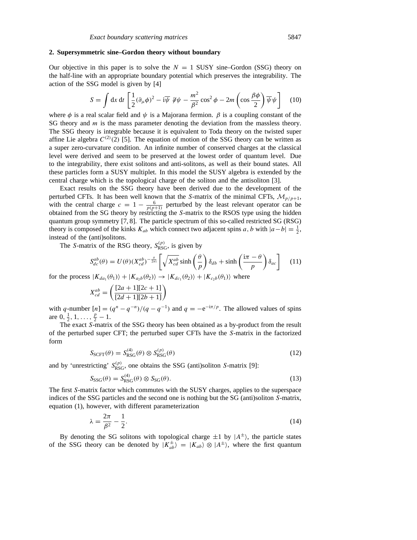## **2. Supersymmetric sine–Gordon theory without boundary**

Our objective in this paper is to solve the  $N = 1$  SUSY sine–Gordon (SSG) theory on the half-line with an appropriate boundary potential which preserves the integrability. The action of the SSG model is given by [4]

$$
S = \int dx \, dt \left[ \frac{1}{2} (\partial_{\mu} \phi)^2 - i \overline{\psi} \, \partial \psi - \frac{m^2}{\beta^2} \cos^2 \phi - 2m \left( \cos \frac{\beta \phi}{2} \right) \overline{\psi} \psi \right] \tag{10}
$$

where  $\phi$  is a real scalar field and  $\psi$  is a Majorana fermion.  $\beta$  is a coupling constant of the SG theory and *m* is the mass parameter denoting the deviation from the massless theory. The SSG theory is integrable because it is equivalent to Toda theory on the twisted super affine Lie algebra  $C^{(2)}(2)$  [5]. The equation of motion of the SSG theory can be written as a super zero-curvature condition. An infinite number of conserved charges at the classical level were derived and seem to be preserved at the lowest order of quantum level. Due to the integrability, there exist solitons and anti-solitons, as well as their bound states. All these particles form a SUSY multiplet. In this model the SUSY algebra is extended by the central charge which is the topological charge of the soliton and the antisoliton [3].

Exact results on the SSG theory have been derived due to the development of the perturbed CFTs. It has been well known that the *S*-matrix of the minimal CFTs,  $\mathcal{M}_{p/p+1}$ , with the central charge  $c = 1 - \frac{6}{p(p+1)}$  perturbed by the least relevant operator can be obtained from the SG theory by restricting the *S*-matrix to the RSOS type using the hidden quantum group symmetry [7, 8]. The particle spectrum of this so-called restricted SG (RSG) theory is composed of the kinks  $K_{ab}$  which connect two adjacent spins *a*, *b* with  $|a-b| = \frac{1}{2}$ , instead of the (anti)solitons.

The *S*-matrix of the RSG theory,  $S_{RSG}^{(p)}$ , is given by

$$
S_{dc}^{ab}(\theta) = U(\theta)(X_{cd}^{ab})^{-\frac{\theta}{2\pi i}} \left[ \sqrt{X_{cd}^{ab}} \sinh\left(\frac{\theta}{p}\right) \delta_{db} + \sinh\left(\frac{i\pi - \theta}{p}\right) \delta_{ac} \right]
$$
 (11)

for the process  $|K_{da_1}(\theta_1)\rangle + |K_{a_2b}(\theta_2)\rangle \rightarrow |K_{dc_1}(\theta_2)\rangle + |K_{c_2b}(\theta_1)\rangle$  where

$$
X_{cd}^{ab} = \left(\frac{[2a+1][2c+1]}{[2d+1][2b+1]}\right)
$$

with *q*-number  $[n] = (q^n - q^{-n})/(q - q^{-1})$  and  $q = -e^{-i\pi/p}$ . The allowed values of spins are  $0, \frac{1}{2}, 1, \ldots, \frac{p}{2} - 1$ .

The exact *S*-matrix of the SSG theory has been obtained as a by-product from the result of the perturbed super CFT; the perturbed super CFTs have the *S*-matrix in the factorized form

$$
S_{\text{SCFT}}(\theta) = S_{\text{RSG}}^{(4)}(\theta) \otimes S_{\text{RSG}}^{(p)}(\theta)
$$
\n(12)

and by 'unrestricting'  $S_{RSG}^{(p)}$ , one obtains the SSG (anti)soliton *S*-matrix [9]:

$$
S_{\rm SSG}(\theta) = S_{\rm RSG}^{(4)}(\theta) \otimes S_{\rm SG}(\theta). \tag{13}
$$

The first *S*-matrix factor which commutes with the SUSY charges, applies to the superspace indices of the SSG particles and the second one is nothing but the SG (anti)soliton *S*-matrix, equation (1), however, with different parameterization

$$
\lambda = \frac{2\pi}{\beta^2} - \frac{1}{2}.\tag{14}
$$

By denoting the SG solitons with topological charge  $\pm 1$  by  $|A^{\pm}\rangle$ , the particle states of the SSG theory can be denoted by  $|K_{ab}^{\pm}\rangle = |K_{ab}\rangle \otimes |A^{\pm}\rangle$ , where the first quantum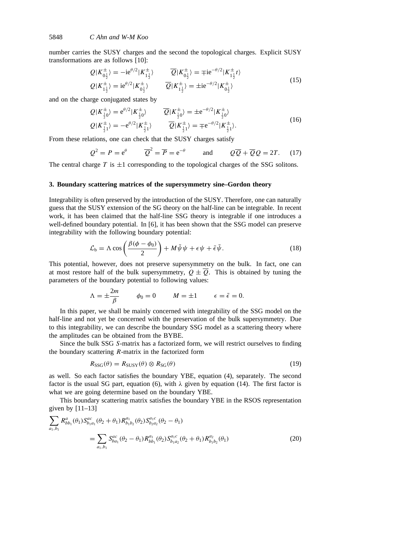number carries the SUSY charges and the second the topological charges. Explicit SUSY transformations are as follows [10]:

$$
Q|K_{0\frac{1}{2}}^{\pm}\rangle = -ie^{\theta/2}|K_{1\frac{1}{2}}^{\pm}\rangle \qquad \overline{Q}|K_{0\frac{1}{2}}^{\pm}\rangle = \mp ie^{-\theta/2}|K_{1\frac{1}{2}}^{\pm}t\rangle
$$
  
\n
$$
Q|K_{1\frac{1}{2}}^{\pm}\rangle = ie^{\theta/2}|K_{0\frac{1}{2}}^{\pm}\rangle \qquad \overline{Q}|K_{1\frac{1}{2}}^{\pm}\rangle = \pm ie^{-\theta/2}|K_{0\frac{1}{2}}^{\pm}\rangle
$$
\n(15)

and on the charge conjugated states by

$$
Q|K_{\frac{1}{2}0}^{\pm}\rangle = e^{\theta/2}|K_{\frac{1}{2}0}^{\pm}\rangle \qquad \overline{Q}|K_{\frac{1}{2}0}^{\pm}\rangle = \pm e^{-\theta/2}|K_{\frac{1}{2}0}^{\pm}\rangle Q|K_{\frac{1}{2}1}^{\pm}\rangle = -e^{\theta/2}|K_{\frac{1}{2}1}^{\pm}\rangle \qquad \overline{Q}|K_{\frac{1}{2}1}^{\pm}\rangle = \mp e^{-\theta/2}|K_{\frac{1}{2}1}^{\pm}\rangle.
$$
 (16)

From these relations, one can check that the SUSY charges satisfy

$$
Q^2 = P = e^{\theta}
$$
  $\overline{Q}^2 = \overline{P} = e^{-\theta}$  and  $Q\overline{Q} + \overline{Q}Q = 2T$ . (17)

The central charge  $T$  is  $\pm 1$  corresponding to the topological charges of the SSG solitons.

## **3. Boundary scattering matrices of the supersymmetry sine–Gordon theory**

Integrability is often preserved by the introduction of the SUSY. Therefore, one can naturally guess that the SUSY extension of the SG theory on the half-line can be integrable. In recent work, it has been claimed that the half-line SSG theory is integrable if one introduces a well-defined boundary potential. In [6], it has been shown that the SSG model can preserve integrability with the following boundary potential:

$$
\mathcal{L}_{b} = \Lambda \cos \left( \frac{\beta(\phi - \phi_0)}{2} \right) + M \bar{\psi} \psi + \epsilon \psi + \bar{\epsilon} \bar{\psi}.
$$
 (18)

This potential, however, does not preserve supersymmetry on the bulk. In fact, one can at most restore half of the bulk supersymmetry,  $Q \pm \overline{Q}$ . This is obtained by tuning the parameters of the boundary potential to following values:

$$
\Lambda = \pm \frac{2m}{\beta} \qquad \phi_0 = 0 \qquad M = \pm 1 \qquad \epsilon = \bar{\epsilon} = 0.
$$

In this paper, we shall be mainly concerned with integrability of the SSG model on the half-line and not yet be concerned with the preservation of the bulk supersymmetry. Due to this integrability, we can describe the boundary SSG model as a scattering theory where the amplitudes can be obtained from the BYBE.

Since the bulk SSG *S*-matrix has a factorized form, we will restrict ourselves to finding the boundary scattering *R*-matrix in the factorized form

$$
R_{SSG}(\theta) = R_{SUSY}(\theta) \otimes R_{SG}(\theta)
$$
\n(19)

as well. So each factor satisfies the boundary YBE, equation (4), separately. The second factor is the usual SG part, equation (6), with *λ* given by equation (14). The first factor is what we are going determine based on the boundary YBE.

This boundary scattering matrix satisfies the boundary YBE in the RSOS representation given by  $[11-13]$ 

$$
\sum_{a_1, b_1} R_{bb_1}^a(\theta_1) S_{b_1 a_1}^{ac}(\theta_2 + \theta_1) R_{b_1 b_2}^{a_1}(\theta_2) S_{b_2 a_2}^{a_1 c}(\theta_2 - \theta_1)
$$
\n
$$
= \sum_{a_1, b_1} S_{ba_1}^{ac}(\theta_2 - \theta_1) R_{bb_1}^{a_1}(\theta_2) S_{b_1 a_2}^{a_1 c}(\theta_2 + \theta_1) R_{b_1 b_2}^{a_2}(\theta_1) \tag{20}
$$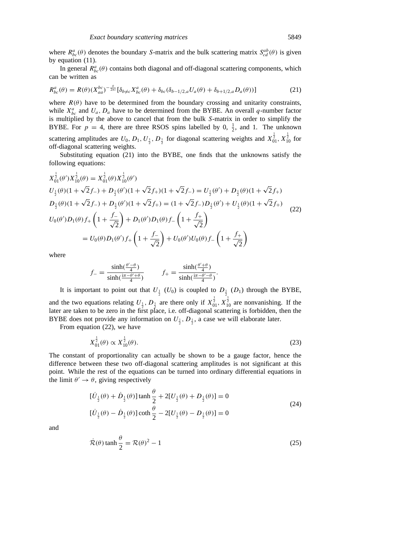where  $R_{bc}^a(\theta)$  denotes the boundary *S*-matrix and the bulk scattering matrix  $S_{cd}^{ab}(\theta)$  is given by equation (11).

In general  $R_{bc}^a(\theta)$  contains both diagonal and off-diagonal scattering components, which can be written as

$$
R_{bc}^{a}(\theta) = R(\theta)(X_{aa}^{bc})^{-\frac{\theta}{2\pi i}}[\delta_{b\neq c}X_{bc}^{a}(\theta) + \delta_{bc}(\delta_{b-1/2,a}U_{a}(\theta) + \delta_{b+1/2,a}D_{a}(\theta))]
$$
(21)

where  $R(\theta)$  have to be determined from the boundary crossing and unitarity constraints, while  $X_{bc}^a$  and  $U_a$ ,  $D_a$  have to be determined from the BYBE. An overall *q*-number factor is multiplied by the above to cancel that from the bulk *S*-matrix in order to simplify the BYBE. For  $p = 4$ , there are three RSOS spins labelled by 0,  $\frac{1}{2}$ , and 1. The unknown scattering amplitudes are  $U_0$ ,  $D_1$ ,  $U_1$ ,  $D_1$  for diagonal scattering weights and  $X_{01}^{\frac{1}{2}}$ ,  $X_{10}^{\frac{1}{2}}$  for off-diagonal scattering weights.

Substituting equation (21) into the BYBE, one finds that the unknowns satisfy the following equations:

$$
X_{01}^{\frac{1}{2}}(\theta')X_{10}^{\frac{1}{2}}(\theta) = X_{01}^{\frac{1}{2}}(\theta)X_{10}^{\frac{1}{2}}(\theta')
$$
  
\n
$$
U_{\frac{1}{2}}(\theta)(1+\sqrt{2}f_{-})+D_{\frac{1}{2}}(\theta')(1+\sqrt{2}f_{+})(1+\sqrt{2}f_{-}) = U_{\frac{1}{2}}(\theta')+D_{\frac{1}{2}}(\theta)(1+\sqrt{2}f_{+})
$$
  
\n
$$
D_{\frac{1}{2}}(\theta)(1+\sqrt{2}f_{-})+D_{\frac{1}{2}}(\theta')(1+\sqrt{2}f_{+}) = (1+\sqrt{2}f_{-})D_{\frac{1}{2}}(\theta')+U_{\frac{1}{2}}(\theta)(1+\sqrt{2}f_{+})
$$
  
\n
$$
U_{0}(\theta')D_{1}(\theta)f_{+}\left(1+\frac{f_{-}}{\sqrt{2}}\right)+D_{1}(\theta')D_{1}(\theta)f_{-}\left(1+\frac{f_{+}}{\sqrt{2}}\right)
$$
  
\n
$$
=U_{0}(\theta)D_{1}(\theta')f_{+}\left(1+\frac{f_{-}}{\sqrt{2}}\right)+U_{0}(\theta')U_{0}(\theta)f_{-}\left(1+\frac{f_{+}}{\sqrt{2}}\right)
$$

where

$$
f_{-} = \frac{\sinh(\frac{\theta'-\theta}{4})}{\sinh(\frac{i\pi-\theta'+\theta}{4})} \qquad f_{+} = \frac{\sinh(\frac{\theta'+\theta}{4})}{\sinh(\frac{i\pi-\theta'-\theta}{4})}.
$$

It is important to point out that  $U_{\frac{1}{2}}(U_0)$  is coupled to  $D_{\frac{1}{2}}(D_1)$  through the BYBE, and the two equations relating  $U_1$ ,  $D_1$  are there only if  $X_{01}$ ,  $X_{10}$  are nonvanishing. If the later are taken to be zero in the first place, i.e. off-diagonal scattering is forbidden, then the BYBE does not provide any information on  $U_1$ ,  $D_1$ , a case we will elaborate later.

From equation (22), we have

$$
X_{01}^{\frac{1}{2}}(\theta) \propto X_{10}^{\frac{1}{2}}(\theta). \tag{23}
$$

The constant of proportionality can actually be shown to be a gauge factor, hence the difference between these two off-diagonal scattering amplitudes is not significant at this point. While the rest of the equations can be turned into ordinary differential equations in the limit  $\theta' \rightarrow \theta$ , giving respectively

$$
[\dot{U}_{\frac{1}{2}}(\theta) + \dot{D}_{\frac{1}{2}}(\theta)] \tanh\frac{\theta}{2} + 2[U_{\frac{1}{2}}(\theta) + D_{\frac{1}{2}}(\theta)] = 0
$$
\n
$$
[\dot{U}_{\frac{1}{2}}(\theta) - \dot{D}_{\frac{1}{2}}(\theta)] \coth\frac{\theta}{2} - 2[U_{\frac{1}{2}}(\theta) - D_{\frac{1}{2}}(\theta)] = 0
$$
\n(24)

and

$$
\dot{\mathcal{R}}(\theta) \tanh \frac{\theta}{2} = \mathcal{R}(\theta)^2 - 1
$$
\n(25)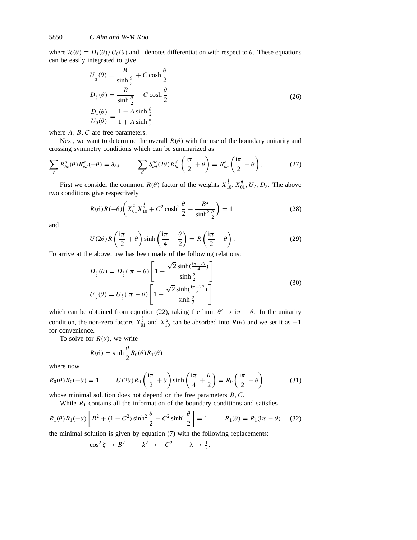where  $\mathcal{R}(\theta) \equiv D_1(\theta)/U_0(\theta)$  and  $\dot{\theta}$  denotes differentiation with respect to  $\theta$ . These equations can be easily integrated to give

$$
U_{\frac{1}{2}}(\theta) = \frac{B}{\sinh \frac{\theta}{2}} + C \cosh \frac{\theta}{2}
$$
  
\n
$$
D_{\frac{1}{2}}(\theta) = \frac{B}{\sinh \frac{\theta}{2}} - C \cosh \frac{\theta}{2}
$$
  
\n
$$
\frac{D_1(\theta)}{U_0(\theta)} = \frac{1 - A \sinh \frac{\theta}{2}}{1 + A \sinh \frac{\theta}{2}}
$$
\n(26)

where *A*, *B*, *C* are free parameters.

Next, we want to determine the overall  $R(\theta)$  with the use of the boundary unitarity and crossing symmetry conditions which can be summarized as

$$
\sum_{c} R_{bc}^{a}(\theta) R_{cd}^{a}(-\theta) = \delta_{bd} \qquad \sum_{d} S_{bd}^{ac}(2\theta) R_{bc}^{d}(\frac{\mathrm{i}\pi}{2} + \theta) = R_{bc}^{a}(\frac{\mathrm{i}\pi}{2} - \theta).
$$
 (27)

First we consider the common  $R(\theta)$  factor of the weights  $X_{10}^{\frac{1}{2}}$ ,  $X_{01}^{\frac{1}{2}}$ ,  $U_2$ ,  $D_2$ . The above two conditions give respectively

$$
R(\theta)R(-\theta)\left(X_{01}^{\frac{1}{2}}X_{10}^{\frac{1}{2}}+C^2\cosh^2\frac{\theta}{2}-\frac{B^2}{\sinh^2\frac{\theta}{2}}\right)=1
$$
 (28)

and

$$
U(2\theta)R\left(\frac{i\pi}{2}+\theta\right)\sinh\left(\frac{i\pi}{4}-\frac{\theta}{2}\right)=R\left(\frac{i\pi}{2}-\theta\right).
$$
 (29)

To arrive at the above, use has been made of the following relations:

$$
D_{\frac{1}{2}}(\theta) = D_{\frac{1}{2}}(i\pi - \theta) \left[ 1 + \frac{\sqrt{2} \sinh(\frac{i\pi - 2\theta}{4})}{\sinh \frac{\theta}{2}} \right]
$$
  

$$
U_{\frac{1}{2}}(\theta) = U_{\frac{1}{2}}(i\pi - \theta) \left[ 1 + \frac{\sqrt{2} \sinh(\frac{i\pi - 2\theta}{4})}{\sinh \frac{\theta}{2}} \right]
$$
(30)

which can be obtained from equation (22), taking the limit  $\theta' \rightarrow i\pi - \theta$ . In the unitarity condition, the non-zero factors  $X_{01}^{\frac{1}{2}}$  and  $X_{10}^{\frac{1}{2}}$  can be absorbed into  $R(\theta)$  and we set it as  $-1$ for convenience.

To solve for  $R(\theta)$ , we write

$$
R(\theta) = \sinh \frac{\theta}{2} R_0(\theta) R_1(\theta)
$$

where now

$$
R_0(\theta)R_0(-\theta) = 1 \qquad U(2\theta)R_0\left(\frac{\mathrm{i}\pi}{2} + \theta\right)\sinh\left(\frac{\mathrm{i}\pi}{4} + \frac{\theta}{2}\right) = R_0\left(\frac{\mathrm{i}\pi}{2} - \theta\right) \tag{31}
$$

whose minimal solution does not depend on the free parameters *B,C*.

While  $R_1$  contains all the information of the boundary conditions and satisfies

$$
R_1(\theta)R_1(-\theta)\left[B^2 + (1 - C^2)\sinh^2\frac{\theta}{2} - C^2\sinh^4\frac{\theta}{2}\right] = 1 \qquad R_1(\theta) = R_1(i\pi - \theta) \tag{32}
$$

the minimal solution is given by equation (7) with the following replacements:

$$
\cos^2 \xi \to B^2 \qquad k^2 \to -C^2 \qquad \lambda \to \frac{1}{2}.
$$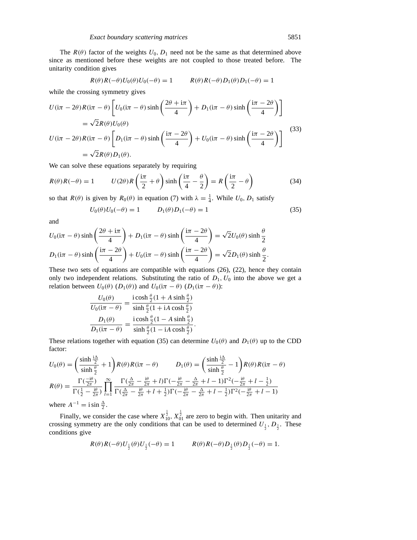The  $R(\theta)$  factor of the weights  $U_0$ ,  $D_1$  need not be the same as that determined above since as mentioned before these weights are not coupled to those treated before. The unitarity condition gives

$$
R(\theta)R(-\theta)U_0(\theta)U_0(-\theta) = 1 \qquad R(\theta)R(-\theta)D_1(\theta)D_1(-\theta) = 1
$$

while the crossing symmetry gives

$$
U(i\pi - 2\theta)R(i\pi - \theta) \left[ U_0(i\pi - \theta) \sinh\left(\frac{2\theta + i\pi}{4}\right) + D_1(i\pi - \theta) \sinh\left(\frac{i\pi - 2\theta}{4}\right) \right]
$$
  
=  $\sqrt{2}R(\theta)U_0(\theta)$   

$$
U(i\pi - 2\theta)R(i\pi - \theta) \left[ D_1(i\pi - \theta) \sinh\left(\frac{i\pi - 2\theta}{4}\right) + U_0(i\pi - \theta) \sinh\left(\frac{i\pi - 2\theta}{4}\right) \right]
$$
  
=  $\sqrt{2}R(\theta)D_1(\theta).$  (33)

We can solve these equations separately by requiring

$$
R(\theta)R(-\theta) = 1 \qquad U(2\theta)R\left(\frac{i\pi}{2} + \theta\right)\sinh\left(\frac{i\pi}{4} - \frac{\theta}{2}\right) = R\left(\frac{i\pi}{2} - \theta\right) \tag{34}
$$

so that *R*( $\theta$ ) is given by *R*<sub>0</sub>( $\theta$ ) in equation (7) with  $\lambda = \frac{1}{4}$ . While *U*<sub>0</sub>, *D*<sub>1</sub> satisfy

$$
U_0(\theta)U_0(-\theta) = 1 \t D_1(\theta)D_1(-\theta) = 1 \t (35)
$$

and

$$
U_0(i\pi - \theta) \sinh\left(\frac{2\theta + i\pi}{4}\right) + D_1(i\pi - \theta) \sinh\left(\frac{i\pi - 2\theta}{4}\right) = \sqrt{2}U_0(\theta) \sinh\frac{\theta}{2}
$$
  

$$
D_1(i\pi - \theta) \sinh\left(\frac{i\pi - 2\theta}{4}\right) + U_0(i\pi - \theta) \sinh\left(\frac{i\pi - 2\theta}{4}\right) = \sqrt{2}D_1(\theta) \sinh\frac{\theta}{2}.
$$

These two sets of equations are compatible with equations (26), (22), hence they contain only two independent relations. Substituting the ratio of  $D_1, U_0$  into the above we get a relation between  $U_0(\theta)$  ( $D_1(\theta)$ ) and  $U_0(i\pi - \theta)$  ( $D_1(i\pi - \theta)$ ):

$$
\frac{U_0(\theta)}{U_0(i\pi - \theta)} = \frac{\mathbf{i}\cosh\frac{\theta}{2}(1 + A\sinh\frac{\theta}{2})}{\sinh\frac{\theta}{2}(1 + iA\cosh\frac{\theta}{2})}
$$

$$
\frac{D_1(\theta)}{D_1(i\pi - \theta)} = \frac{\mathbf{i}\cosh\frac{\theta}{2}(1 - A\sinh\frac{\theta}{2})}{\sinh\frac{\theta}{2}(1 - iA\cosh\frac{\theta}{2})}.
$$

These relations together with equation (35) can determine  $U_0(\theta)$  and  $D_1(\theta)$  up to the CDD factor:

$$
U_0(\theta) = \left(\frac{\sinh\frac{i\Delta}{2}}{\sinh\frac{\theta}{2}} + 1\right)R(\theta)R(i\pi - \theta) \qquad D_1(\theta) = \left(\frac{\sinh\frac{i\Delta}{2}}{\sinh\frac{\theta}{2}} - 1\right)R(\theta)R(i\pi - \theta)
$$

$$
R(\theta) = \frac{\Gamma(\frac{-i\theta}{2\pi})}{\Gamma(\frac{1}{2} - \frac{i\theta}{2\pi})} \prod_{l=1}^{\infty} \frac{\Gamma(\frac{\Delta}{2\pi} - \frac{i\theta}{2\pi} + l)\Gamma(-\frac{i\theta}{2\pi} - \frac{\Delta}{2\pi} + l - 1)\Gamma^2(-\frac{i\theta}{2\pi} + l - \frac{1}{2})}{\Gamma(\frac{\Delta}{2\pi} - \frac{i\theta}{2\pi} + l + \frac{1}{2})\Gamma(-\frac{i\theta}{2\pi} - \frac{\Delta}{2\pi} + l - \frac{1}{2})\Gamma^2(-\frac{i\theta}{2\pi} + l - 1)}
$$

where  $A^{-1} = i \sin \frac{\Delta}{2}$ .

Finally, we consider the case where  $X_{10}^{\frac{1}{2}}$ ,  $X_{01}^{\frac{1}{2}}$  are zero to begin with. Then unitarity and crossing symmetry are the only conditions that can be used to determined  $U_{\frac{1}{2}}$ ,  $D_{\frac{1}{2}}$ . These conditions give

$$
R(\theta)R(-\theta)U_{\frac{1}{2}}(\theta)U_{\frac{1}{2}}(-\theta) = 1 \qquad R(\theta)R(-\theta)D_{\frac{1}{2}}(\theta)D_{\frac{1}{2}}(-\theta) = 1.
$$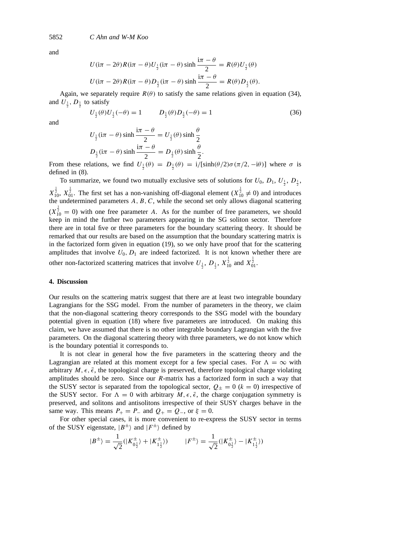and

$$
U(i\pi - 2\theta)R(i\pi - \theta)U_{\frac{1}{2}}(i\pi - \theta) \sinh \frac{i\pi - \theta}{2} = R(\theta)U_{\frac{1}{2}}(\theta)
$$
  

$$
U(i\pi - 2\theta)R(i\pi - \theta)D_{\frac{1}{2}}(i\pi - \theta) \sinh \frac{i\pi - \theta}{2} = R(\theta)D_{\frac{1}{2}}(\theta).
$$

Again, we separately require  $R(\theta)$  to satisfy the same relations given in equation (34), and  $U_{\frac{1}{2}}$ ,  $D_{\frac{1}{2}}$  to satisfy

$$
U_{\frac{1}{2}}(\theta)U_{\frac{1}{2}}(-\theta) = 1 \qquad D_{\frac{1}{2}}(\theta)D_{\frac{1}{2}}(-\theta) = 1 \tag{36}
$$

and

$$
U_{\frac{1}{2}}(\mathrm{i}\pi - \theta) \sinh \frac{\mathrm{i}\pi - \theta}{2} = U_{\frac{1}{2}}(\theta) \sinh \frac{\theta}{2}
$$
  

$$
D_{\frac{1}{2}}(\mathrm{i}\pi - \theta) \sinh \frac{\mathrm{i}\pi - \theta}{2} = D_{\frac{1}{2}}(\theta) \sinh \frac{\theta}{2}.
$$

From these relations, we find  $U_1^{\dagger}(\theta) = D_1^{\dagger}(\theta) = i/[\sinh(\theta/2)\sigma(\pi/2, -i\theta)]$  where  $\sigma$  is defined in (8).

To summarize, we found two mutually exclusive sets of solutions for  $U_0$ ,  $D_1$ ,  $U_{\frac{1}{2}}$ ,  $D_{\frac{1}{2}}$ ,  $X_{10}^{\frac{1}{2}}$ ,  $X_{01}^{\frac{1}{2}}$ . The first set has a non-vanishing off-diagonal element ( $X_{10}^{\frac{1}{2}} \neq 0$ ) and introduces the undetermined parameters *A, B, C*, while the second set only allows diagonal scattering  $(X_{10}^{\frac{1}{2}} = 0)$  with one free parameter *A*. As for the number of free parameters, we should keep in mind the further two parameters appearing in the SG soliton sector. Therefore there are in total five or three parameters for the boundary scattering theory. It should be remarked that our results are based on the assumption that the boundary scattering matrix is in the factorized form given in equation (19), so we only have proof that for the scattering amplitudes that involve  $U_0$ ,  $D_1$  are indeed factorized. It is not known whether there are other non-factorized scattering matrices that involve  $U_{{}^1_2}$ ,  $D_{{}^1_2}$ ,  $X_{{}10}^{\frac{1}{2}}$  and  $X_{{}01}^{\frac{1}{2}}$ .

## **4. Discussion**

Our results on the scattering matrix suggest that there are at least two integrable boundary Lagrangians for the SSG model. From the number of parameters in the theory, we claim that the non-diagonal scattering theory corresponds to the SSG model with the boundary potential given in equation (18) where five parameters are introduced. On making this claim, we have assumed that there is no other integrable boundary Lagrangian with the five parameters. On the diagonal scattering theory with three parameters, we do not know which is the boundary potential it corresponds to.

It is not clear in general how the five parameters in the scattering theory and the Lagrangian are related at this moment except for a few special cases. For  $\Lambda = \infty$  with arbitrary  $M, \epsilon, \bar{\epsilon}$ , the topological charge is preserved, therefore topological charge violating amplitudes should be zero. Since our *R*-matrix has a factorized form in such a way that the SUSY sector is separated from the topological sector,  $Q_{+} = 0$  ( $k = 0$ ) irrespective of the SUSY sector. For  $\Lambda = 0$  with arbitrary  $M, \epsilon, \bar{\epsilon}$ , the charge conjugation symmetry is preserved, and solitons and antisolitons irrespective of their SUSY charges behave in the same way. This means  $P_+ = P_-$  and  $Q_+ = Q_-,$  or  $\xi = 0$ .

For other special cases, it is more convenient to re-express the SUSY sector in terms of the SUSY eigenstate,  $|B^{\pm}\rangle$  and  $|F^{\pm}\rangle$  defined by

$$
|B^{\pm}\rangle = \frac{1}{\sqrt{2}}(|K^{\pm}_{0\frac{1}{2}}\rangle + |K^{\pm}_{1\frac{1}{2}}\rangle) \qquad |F^{\pm}\rangle = \frac{1}{\sqrt{2}}(|K^{\pm}_{0\frac{1}{2}}\rangle - |K^{\pm}_{1\frac{1}{2}}\rangle)
$$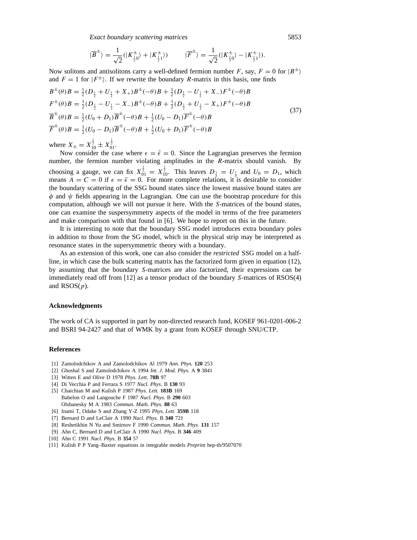*Exact boundary scattering matrices* 5853

$$
|\overline{B}^{\pm}\rangle = \frac{1}{\sqrt{2}}(|K^{\pm}_{\frac{1}{2}0}\rangle + |K^{\pm}_{\frac{1}{2}1}\rangle) \qquad |\overline{F}^{\pm}\rangle = \frac{1}{\sqrt{2}}(|K^{\pm}_{\frac{1}{2}0}\rangle - |K^{\pm}_{\frac{1}{2}1}\rangle).
$$

Now solitons and antisolitons carry a well-defined fermion number *F*, say,  $F = 0$  for  $|B^{\pm}\rangle$ and  $F = 1$  for  $|F^{\pm}\rangle$ . If we rewrite the boundary *R*-matrix in this basis, one finds

$$
B^{\pm}(\theta)B = \frac{1}{2}(D_{\frac{1}{2}} + U_{\frac{1}{2}} + X_{+})B^{\pm}(-\theta)B + \frac{1}{2}(D_{\frac{1}{2}} - U_{\frac{1}{2}} + X_{-})F^{\pm}(-\theta)B
$$
  
\n
$$
F^{\pm}(\theta)B = \frac{1}{2}(D_{\frac{1}{2}} - U_{\frac{1}{2}} - X_{-})B^{\pm}(-\theta)B + \frac{1}{2}(D_{\frac{1}{2}} + U_{\frac{1}{2}} - X_{+})F^{\pm}(-\theta)B
$$
  
\n
$$
\overline{B}^{\pm}(\theta)B = \frac{1}{2}(U_{0} + D_{1})\overline{B}^{\pm}(-\theta)B + \frac{1}{2}(U_{0} - D_{1})\overline{F}^{\pm}(-\theta)B
$$
  
\n
$$
\overline{F}^{\pm}(\theta)B = \frac{1}{2}(U_{0} - D_{1})\overline{B}^{\pm}(-\theta)B + \frac{1}{2}(U_{0} + D_{1})\overline{F}^{\pm}(-\theta)B
$$
\n(37)

where  $X_{\pm} = X_{10}^{\frac{1}{2}} \pm X_{01}^{\frac{1}{2}}$ .

Now consider the case where  $\epsilon = \bar{\epsilon} = 0$ . Since the Lagrangian preserves the fermion number, the fermion number violating amplitudes in the *R*-matrix should vanish. By choosing a gauge, we can fix  $X_{01}^{\frac{1}{2}} = X_{10}^{\frac{1}{2}}$ . This leaves  $D_{\frac{1}{2}} = U_{\frac{1}{2}}$  and  $U_0 = D_1$ , which means  $\overline{A} = \overline{C} = 0$  if  $\epsilon = \overline{\epsilon} = 0$ . For more complete relations, it is desirable to consider the boundary scattering of the SSG bound states since the lowest massive bound states are  $\phi$  and  $\psi$  fields appearing in the Lagrangian. One can use the bootstrap procedure for this computation, although we will not pursue it here. With the *S*-matrices of the bound states, one can examine the suspersymmetry aspects of the model in terms of the free parameters and make comparison with that found in [6]. We hope to report on this in the future.

It is interesting to note that the boundary SSG model introduces extra boundary poles in addition to those from the SG model, which in the physical strip may be interpreted as resonance states in the supersymmetric theory with a boundary.

As an extension of this work, one can also consider the *restricted* SSG model on a halfline, in which case the bulk scattering matrix has the factorized form given in equation (12), by assuming that the boundary *S*-matrices are also factorized, their expressions can be immediately read off from [12] as a tensor product of the boundary *S*-matrices of RSOS(4) and RSOS(*p*).

#### **Acknowledgments**

The work of CA is supported in part by non-directed research fund, KOSEF 961-0201-006-2 and BSRI 94-2427 and that of WMK by a grant from KOSEF through SNU/CTP.

## **References**

- [1] Zamolodchikov A and Zamolodchikov Al 1979 *Ann. Phys.* **120** 253
- [2] Ghoshal S and Zamolodchikov A 1994 *Int. J. Mod. Phys.* A **9** 3841
- [3] Witten E and Olive D 1978 *Phys. Lett.* **78B** 97
- [4] Di Vecchia P and Ferrara S 1977 *Nucl. Phys.* B **130** 93
- [5] Chaichian M and Kulish P 1987 *Phys. Lett.* **183B** 169 Babelon O and Langouche F 1987 *Nucl. Phys.* B **290** 603 Olshanesky M A 1983 *Commun. Math. Phys.* **88** 63
- [6] Inami T, Odake S and Zhang Y-Z 1995 *Phys. Lett.* **359B** 118
- [7] Bernard D and LeClair A 1990 *Nucl. Phys.* B **340** 721
- [8] Reshetikhin N Yu and Smirnov F 1990 *Commun. Math. Phys.* **131** 157
- [9] Ahn C, Bernard D and LeClair A 1990 *Nucl. Phys.* B **346** 409
- [10] Ahn C 1991 *Nucl. Phys.* B **354** 57
- [11] KulishPPYang–Baxter equations in integrable models *Preprint* hep-th/9507070